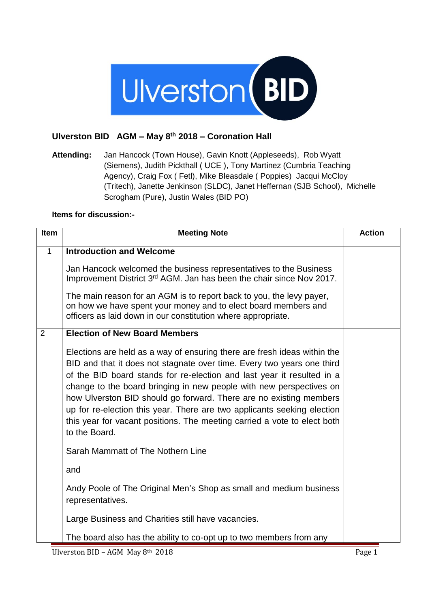

## **Ulverston BID AGM – May 8th 2018 – Coronation Hall**

**Attending:** Jan Hancock (Town House), Gavin Knott (Appleseeds), Rob Wyatt (Siemens), Judith Pickthall ( UCE ), Tony Martinez (Cumbria Teaching Agency), Craig Fox ( Fetl), Mike Bleasdale ( Poppies) Jacqui McCloy (Tritech), Janette Jenkinson (SLDC), Janet Heffernan (SJB School), Michelle Scrogham (Pure), Justin Wales (BID PO)

## **Items for discussion:-**

| <b>Item</b>  | <b>Meeting Note</b>                                                                                                                                                                                                                                                                                                                                                                                                                                                                                                                               | <b>Action</b> |
|--------------|---------------------------------------------------------------------------------------------------------------------------------------------------------------------------------------------------------------------------------------------------------------------------------------------------------------------------------------------------------------------------------------------------------------------------------------------------------------------------------------------------------------------------------------------------|---------------|
| $\mathbf{1}$ | <b>Introduction and Welcome</b>                                                                                                                                                                                                                                                                                                                                                                                                                                                                                                                   |               |
|              | Jan Hancock welcomed the business representatives to the Business<br>Improvement District 3rd AGM. Jan has been the chair since Nov 2017.                                                                                                                                                                                                                                                                                                                                                                                                         |               |
|              | The main reason for an AGM is to report back to you, the levy payer,<br>on how we have spent your money and to elect board members and<br>officers as laid down in our constitution where appropriate.                                                                                                                                                                                                                                                                                                                                            |               |
| 2            | <b>Election of New Board Members</b>                                                                                                                                                                                                                                                                                                                                                                                                                                                                                                              |               |
|              | Elections are held as a way of ensuring there are fresh ideas within the<br>BID and that it does not stagnate over time. Every two years one third<br>of the BID board stands for re-election and last year it resulted in a<br>change to the board bringing in new people with new perspectives on<br>how Ulverston BID should go forward. There are no existing members<br>up for re-election this year. There are two applicants seeking election<br>this year for vacant positions. The meeting carried a vote to elect both<br>to the Board. |               |
|              | Sarah Mammatt of The Nothern Line                                                                                                                                                                                                                                                                                                                                                                                                                                                                                                                 |               |
|              | and                                                                                                                                                                                                                                                                                                                                                                                                                                                                                                                                               |               |
|              | Andy Poole of The Original Men's Shop as small and medium business<br>representatives.                                                                                                                                                                                                                                                                                                                                                                                                                                                            |               |
|              | Large Business and Charities still have vacancies.                                                                                                                                                                                                                                                                                                                                                                                                                                                                                                |               |
|              | The board also has the ability to co-opt up to two members from any                                                                                                                                                                                                                                                                                                                                                                                                                                                                               |               |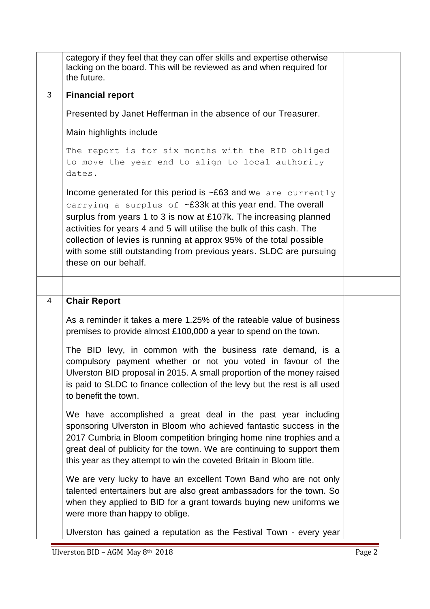|   | category if they feel that they can offer skills and expertise otherwise<br>lacking on the board. This will be reviewed as and when required for<br>the future.                                                                                                                                                                                                                                                                                          |  |
|---|----------------------------------------------------------------------------------------------------------------------------------------------------------------------------------------------------------------------------------------------------------------------------------------------------------------------------------------------------------------------------------------------------------------------------------------------------------|--|
| 3 | <b>Financial report</b>                                                                                                                                                                                                                                                                                                                                                                                                                                  |  |
|   | Presented by Janet Hefferman in the absence of our Treasurer.                                                                                                                                                                                                                                                                                                                                                                                            |  |
|   | Main highlights include                                                                                                                                                                                                                                                                                                                                                                                                                                  |  |
|   | The report is for six months with the BID obliged<br>to move the year end to align to local authority<br>dates.                                                                                                                                                                                                                                                                                                                                          |  |
|   | Income generated for this period is $\sim$ £63 and we are currently<br>carrying a surplus of $\sim$ £33k at this year end. The overall<br>surplus from years 1 to 3 is now at £107k. The increasing planned<br>activities for years 4 and 5 will utilise the bulk of this cash. The<br>collection of levies is running at approx 95% of the total possible<br>with some still outstanding from previous years. SLDC are pursuing<br>these on our behalf. |  |
|   |                                                                                                                                                                                                                                                                                                                                                                                                                                                          |  |
| 4 | <b>Chair Report</b>                                                                                                                                                                                                                                                                                                                                                                                                                                      |  |
|   | As a reminder it takes a mere 1.25% of the rateable value of business<br>premises to provide almost £100,000 a year to spend on the town.                                                                                                                                                                                                                                                                                                                |  |
|   | The BID levy, in common with the business rate demand, is a<br>compulsory payment whether or not you voted in favour of the<br>Ulverston BID proposal in 2015. A small proportion of the money raised<br>is paid to SLDC to finance collection of the levy but the rest is all used<br>to benefit the town.                                                                                                                                              |  |
|   | We have accomplished a great deal in the past year including<br>sponsoring Ulverston in Bloom who achieved fantastic success in the<br>2017 Cumbria in Bloom competition bringing home nine trophies and a<br>great deal of publicity for the town. We are continuing to support them<br>this year as they attempt to win the coveted Britain in Bloom title.                                                                                            |  |
|   | We are very lucky to have an excellent Town Band who are not only<br>talented entertainers but are also great ambassadors for the town. So<br>when they applied to BID for a grant towards buying new uniforms we<br>were more than happy to oblige.                                                                                                                                                                                                     |  |
|   | Ulverston has gained a reputation as the Festival Town - every year                                                                                                                                                                                                                                                                                                                                                                                      |  |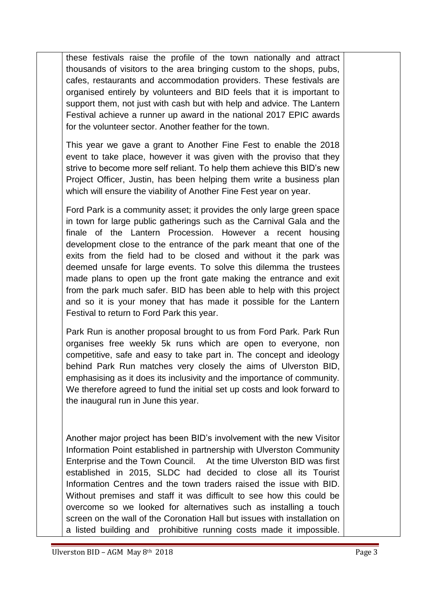these festivals raise the profile of the town nationally and attract thousands of visitors to the area bringing custom to the shops, pubs, cafes, restaurants and accommodation providers. These festivals are organised entirely by volunteers and BID feels that it is important to support them, not just with cash but with help and advice. The Lantern Festival achieve a runner up award in the national 2017 EPIC awards for the volunteer sector. Another feather for the town.

This year we gave a grant to Another Fine Fest to enable the 2018 event to take place, however it was given with the proviso that they strive to become more self reliant. To help them achieve this BID's new Project Officer, Justin, has been helping them write a business plan which will ensure the viability of Another Fine Fest year on year.

Ford Park is a community asset; it provides the only large green space in town for large public gatherings such as the Carnival Gala and the finale of the Lantern Procession. However a recent housing development close to the entrance of the park meant that one of the exits from the field had to be closed and without it the park was deemed unsafe for large events. To solve this dilemma the trustees made plans to open up the front gate making the entrance and exit from the park much safer. BID has been able to help with this project and so it is your money that has made it possible for the Lantern Festival to return to Ford Park this year.

Park Run is another proposal brought to us from Ford Park. Park Run organises free weekly 5k runs which are open to everyone, non competitive, safe and easy to take part in. The concept and ideology behind Park Run matches very closely the aims of Ulverston BID, emphasising as it does its inclusivity and the importance of community. We therefore agreed to fund the initial set up costs and look forward to the inaugural run in June this year.

Another major project has been BID's involvement with the new Visitor Information Point established in partnership with Ulverston Community Enterprise and the Town Council. At the time Ulverston BID was first established in 2015, SLDC had decided to close all its Tourist Information Centres and the town traders raised the issue with BID. Without premises and staff it was difficult to see how this could be overcome so we looked for alternatives such as installing a touch screen on the wall of the Coronation Hall but issues with installation on a listed building and prohibitive running costs made it impossible.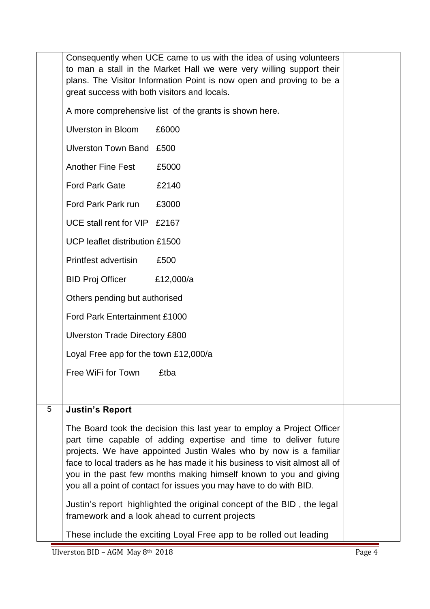|   | Consequently when UCE came to us with the idea of using volunteers<br>to man a stall in the Market Hall we were very willing support their<br>plans. The Visitor Information Point is now open and proving to be a<br>great success with both visitors and locals.                                                                                                                                                                        |                                                                    |  |  |
|---|-------------------------------------------------------------------------------------------------------------------------------------------------------------------------------------------------------------------------------------------------------------------------------------------------------------------------------------------------------------------------------------------------------------------------------------------|--------------------------------------------------------------------|--|--|
|   | A more comprehensive list of the grants is shown here.                                                                                                                                                                                                                                                                                                                                                                                    |                                                                    |  |  |
|   | <b>Ulverston in Bloom</b>                                                                                                                                                                                                                                                                                                                                                                                                                 | £6000                                                              |  |  |
|   | Ulverston Town Band £500                                                                                                                                                                                                                                                                                                                                                                                                                  |                                                                    |  |  |
|   | <b>Another Fine Fest</b>                                                                                                                                                                                                                                                                                                                                                                                                                  | £5000                                                              |  |  |
|   | <b>Ford Park Gate</b>                                                                                                                                                                                                                                                                                                                                                                                                                     | £2140                                                              |  |  |
|   | Ford Park Park run                                                                                                                                                                                                                                                                                                                                                                                                                        | £3000                                                              |  |  |
|   | UCE stall rent for VIP £2167                                                                                                                                                                                                                                                                                                                                                                                                              |                                                                    |  |  |
|   | UCP leaflet distribution £1500                                                                                                                                                                                                                                                                                                                                                                                                            |                                                                    |  |  |
|   | <b>Printfest advertisin</b>                                                                                                                                                                                                                                                                                                                                                                                                               | £500                                                               |  |  |
|   | <b>BID Proj Officer</b>                                                                                                                                                                                                                                                                                                                                                                                                                   | £12,000/a                                                          |  |  |
|   | Others pending but authorised                                                                                                                                                                                                                                                                                                                                                                                                             |                                                                    |  |  |
|   | Ford Park Entertainment £1000                                                                                                                                                                                                                                                                                                                                                                                                             |                                                                    |  |  |
|   | <b>Ulverston Trade Directory £800</b>                                                                                                                                                                                                                                                                                                                                                                                                     |                                                                    |  |  |
|   | Loyal Free app for the town £12,000/a                                                                                                                                                                                                                                                                                                                                                                                                     |                                                                    |  |  |
|   | Free WiFi for Town                                                                                                                                                                                                                                                                                                                                                                                                                        | £tba                                                               |  |  |
|   |                                                                                                                                                                                                                                                                                                                                                                                                                                           |                                                                    |  |  |
| 5 | <b>Justin's Report</b>                                                                                                                                                                                                                                                                                                                                                                                                                    |                                                                    |  |  |
|   | The Board took the decision this last year to employ a Project Officer<br>part time capable of adding expertise and time to deliver future<br>projects. We have appointed Justin Wales who by now is a familiar<br>face to local traders as he has made it his business to visit almost all of<br>you in the past few months making himself known to you and giving<br>you all a point of contact for issues you may have to do with BID. |                                                                    |  |  |
|   | Justin's report highlighted the original concept of the BID, the legal<br>framework and a look ahead to current projects                                                                                                                                                                                                                                                                                                                  |                                                                    |  |  |
|   |                                                                                                                                                                                                                                                                                                                                                                                                                                           | These include the exciting Loyal Free app to be rolled out leading |  |  |